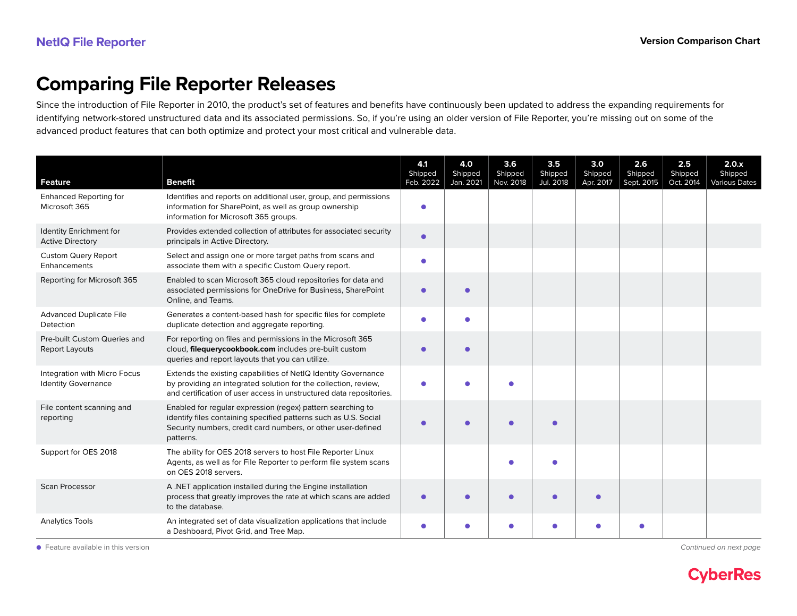## **Comparing File Reporter Releases**

Since the introduction of File Reporter in 2010, the product's set of features and benefits have continuously been updated to address the expanding requirements for identifying network-stored unstructured data and its associated permissions. So, if you're using an older version of File Reporter, you're missing out on some of the advanced product features that can both optimize and protect your most critical and vulnerable data.

| <b>Feature</b>                                             | <b>Benefit</b>                                                                                                                                                                                               | 4.1<br>Shipped<br>Feb. 2022 | 4.0<br>Shipped<br>Jan. 2021 | 3.6<br>Shipped<br>Nov. 2018 | 3.5<br>Shipped<br>Jul. 2018 | 3.0<br>Shipped<br>Apr. 2017 | 2.6<br>Shipped<br>Sept. 2015 | 2.5<br>Shipped<br>Oct. 2014 | 2.0.x<br>Shipped<br><b>Various Dates</b> |
|------------------------------------------------------------|--------------------------------------------------------------------------------------------------------------------------------------------------------------------------------------------------------------|-----------------------------|-----------------------------|-----------------------------|-----------------------------|-----------------------------|------------------------------|-----------------------------|------------------------------------------|
| <b>Enhanced Reporting for</b><br>Microsoft 365             | Identifies and reports on additional user, group, and permissions<br>information for SharePoint, as well as group ownership<br>information for Microsoft 365 groups.                                         |                             |                             |                             |                             |                             |                              |                             |                                          |
| Identity Enrichment for<br><b>Active Directory</b>         | Provides extended collection of attributes for associated security<br>principals in Active Directory.                                                                                                        | $\bullet$                   |                             |                             |                             |                             |                              |                             |                                          |
| <b>Custom Query Report</b><br><b>Enhancements</b>          | Select and assign one or more target paths from scans and<br>associate them with a specific Custom Query report.                                                                                             |                             |                             |                             |                             |                             |                              |                             |                                          |
| Reporting for Microsoft 365                                | Enabled to scan Microsoft 365 cloud repositories for data and<br>associated permissions for OneDrive for Business, SharePoint<br>Online, and Teams.                                                          |                             |                             |                             |                             |                             |                              |                             |                                          |
| <b>Advanced Duplicate File</b><br>Detection                | Generates a content-based hash for specific files for complete<br>duplicate detection and aggregate reporting.                                                                                               |                             | ٠                           |                             |                             |                             |                              |                             |                                          |
| Pre-built Custom Queries and<br>Report Layouts             | For reporting on files and permissions in the Microsoft 365<br>cloud, filequerycookbook.com includes pre-built custom<br>queries and report layouts that you can utilize.                                    |                             | $\bullet$                   |                             |                             |                             |                              |                             |                                          |
| Integration with Micro Focus<br><b>Identity Governance</b> | Extends the existing capabilities of NetIQ Identity Governance<br>by providing an integrated solution for the collection, review,<br>and certification of user access in unstructured data repositories.     |                             |                             |                             |                             |                             |                              |                             |                                          |
| File content scanning and<br>reporting                     | Enabled for regular expression (regex) pattern searching to<br>identify files containing specified patterns such as U.S. Social<br>Security numbers, credit card numbers, or other user-defined<br>patterns. |                             |                             |                             |                             |                             |                              |                             |                                          |
| Support for OES 2018                                       | The ability for OES 2018 servers to host File Reporter Linux<br>Agents, as well as for File Reporter to perform file system scans<br>on OES 2018 servers.                                                    |                             |                             |                             |                             |                             |                              |                             |                                          |
| <b>Scan Processor</b>                                      | A.NET application installed during the Engine installation<br>process that greatly improves the rate at which scans are added<br>to the database.                                                            | $\bullet$                   | ●                           |                             | ä                           |                             |                              |                             |                                          |
| <b>Analytics Tools</b>                                     | An integrated set of data visualization applications that include<br>a Dashboard, Pivot Grid, and Tree Map.                                                                                                  |                             |                             |                             | ●                           |                             |                              |                             |                                          |

● Feature available in this version **and the set of the continued on next page [Continued on next page](#page-1-0)**